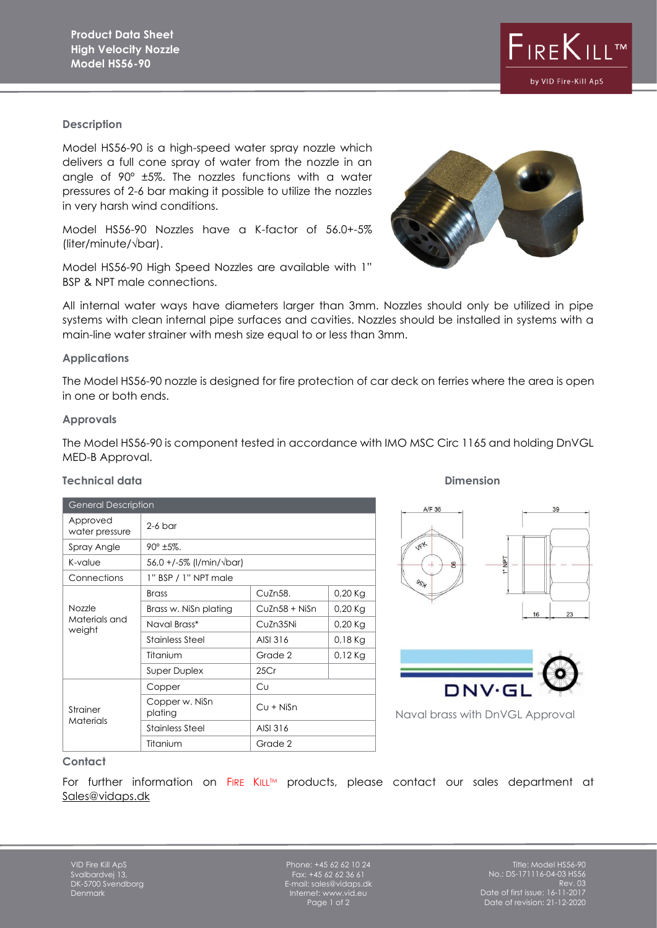### **Description**

Model HS56-90 is a high-speed water spray nozzle which delivers a full cone spray of water from the nozzle in an angle of 90º ±5%. The nozzles functions with a water pressures of 2-6 bar making it possible to utilize the nozzles in very harsh wind conditions.

Model HS56-90 Nozzles have a K-factor of 56.0+-5% (liter/minute/√bar).

Model HS56-90 High Speed Nozzles are available with 1" BSP & NPT male connections.

All internal water ways have diameters larger than 3mm. Nozzles should only be utilized in pipe systems with clean internal pipe surfaces and cavities. Nozzles should be installed in systems with a main-line water strainer with mesh size equal to or less than 3mm.

## **Applications**

The Model HS56-90 nozzle is designed for fire protection of car deck on ferries where the area is open in one or both ends.

### **Approvals**

The Model HS56-90 is component tested in accordance with IMO MSC Circ 1165 and holding DnVGL MED-B Approval.

| <b>General Description</b>        |                           |               |           |
|-----------------------------------|---------------------------|---------------|-----------|
| Approved<br>water pressure        | $2-6$ bar                 |               |           |
| Spray Angle                       | $90^{\circ}$ ±5%.         |               |           |
| K-value                           | 56,0 +/-5% (l/min/√bar)   |               |           |
| Connections                       | 1" BSP / 1" NPT male      |               |           |
| Nozzle<br>Materials and<br>weight | <b>Brass</b>              | CuZn58.       | $0,20$ Kg |
|                                   | Brass w. Nisn plating     | CuZn58 + NiSn | $0,20$ Kg |
|                                   | Naval Brass*              | CuZn35Ni      | $0,20$ Kg |
|                                   | Stainless Steel           | AISI 316      | $0,18$ Kg |
|                                   | Titanium                  | Grade 2       | $0,12$ Kg |
|                                   | <b>Super Duplex</b>       | 25Cr          |           |
| Strainer<br>Materials             | Copper                    | Cυ            |           |
|                                   | Copper w. NiSn<br>plating | $Cu + NiSn$   |           |
|                                   | Stainless Steel           | AISI 316      |           |
|                                   | Titanium                  | Grade 2       |           |

# **Technical data** Dimension





Naval brass with DnVGL Approval

### **Contact**

For further information on FIRE KILL<sup>TM</sup> products, please contact our sales department at [Sales@vidaps.dk](mailto:Sales@vidaps.dk)

Phone:  $+45,62,62,10,24$ Fax: +45 62 62 36 61 E-mail: sales@vidaps.dk Internet: www.vid.eu Page 1 of 2